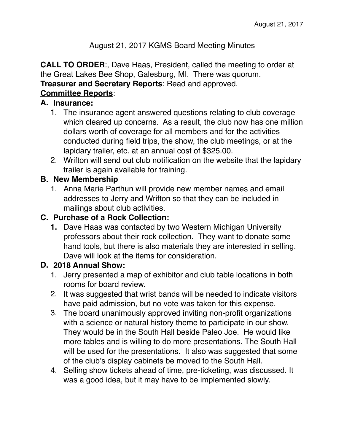#### August 21, 2017 KGMS Board Meeting Minutes

**CALL TO ORDER**:, Dave Haas, President, called the meeting to order at the Great Lakes Bee Shop, Galesburg, MI. There was quorum. **Treasurer and Secretary Reports**: Read and approved.

# **Committee Reports**:

#### **A. Insurance:**

- 1. The insurance agent answered questions relating to club coverage which cleared up concerns. As a result, the club now has one million dollars worth of coverage for all members and for the activities conducted during field trips, the show, the club meetings, or at the lapidary trailer, etc. at an annual cost of \$325.00.
- 2. Wrifton will send out club notification on the website that the lapidary trailer is again available for training.

### **B. New Membership**

1. Anna Marie Parthun will provide new member names and email addresses to Jerry and Wrifton so that they can be included in mailings about club activities.

# **C. Purchase of a Rock Collection:**

**1.** Dave Haas was contacted by two Western Michigan University professors about their rock collection. They want to donate some hand tools, but there is also materials they are interested in selling. Dave will look at the items for consideration.

# **D. 2018 Annual Show:**

- 1. Jerry presented a map of exhibitor and club table locations in both rooms for board review.
- 2. It was suggested that wrist bands will be needed to indicate visitors have paid admission, but no vote was taken for this expense.
- 3. The board unanimously approved inviting non-profit organizations with a science or natural history theme to participate in our show. They would be in the South Hall beside Paleo Joe. He would like more tables and is willing to do more presentations. The South Hall will be used for the presentations. It also was suggested that some of the club's display cabinets be moved to the South Hall.
- 4. Selling show tickets ahead of time, pre-ticketing, was discussed. It was a good idea, but it may have to be implemented slowly.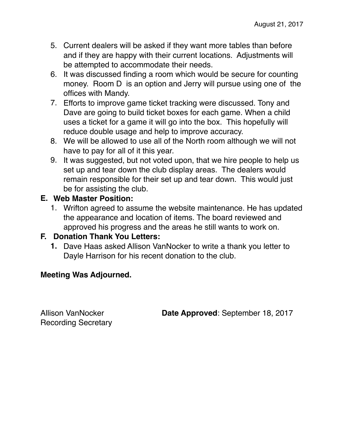- 5. Current dealers will be asked if they want more tables than before and if they are happy with their current locations. Adjustments will be attempted to accommodate their needs.
- 6. It was discussed finding a room which would be secure for counting money. Room D is an option and Jerry will pursue using one of the offices with Mandy.
- 7. Efforts to improve game ticket tracking were discussed. Tony and Dave are going to build ticket boxes for each game. When a child uses a ticket for a game it will go into the box. This hopefully will reduce double usage and help to improve accuracy.
- 8. We will be allowed to use all of the North room although we will not have to pay for all of it this year.
- 9. It was suggested, but not voted upon, that we hire people to help us set up and tear down the club display areas. The dealers would remain responsible for their set up and tear down. This would just be for assisting the club.

#### **E. Web Master Position:**

1. Wrifton agreed to assume the website maintenance. He has updated the appearance and location of items. The board reviewed and approved his progress and the areas he still wants to work on.

#### **F. Donation Thank You Letters:**

**1.** Dave Haas asked Allison VanNocker to write a thank you letter to Dayle Harrison for his recent donation to the club.

#### **Meeting Was Adjourned.**

Recording Secretary

Allison VanNocker **Date Approved**: September 18, 2017